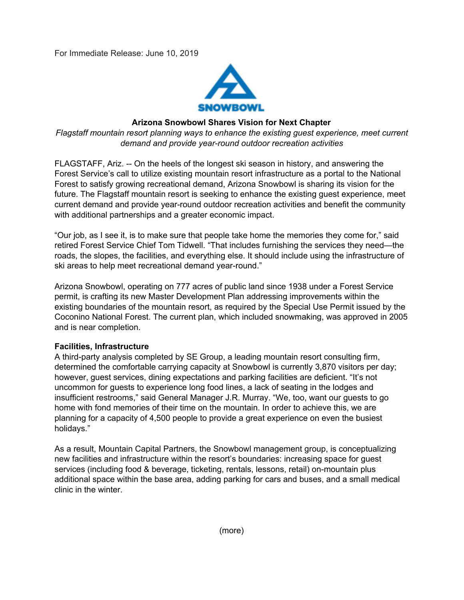

# **Arizona Snowbowl Shares Vision for Next Chapter**

*Flagstaff mountain resort planning ways to enhance the existing guest experience, meet current demand and provide year-round outdoor recreation activities*

FLAGSTAFF, Ariz. -- On the heels of the longest ski season in history, and answering the Forest Service's call to utilize existing mountain resort infrastructure as a portal to the National Forest to satisfy growing recreational demand, Arizona Snowbowl is sharing its vision for the future. The Flagstaff mountain resort is seeking to enhance the existing guest experience, meet current demand and provide year-round outdoor recreation activities and benefit the community with additional partnerships and a greater economic impact.

"Our job, as I see it, is to make sure that people take home the memories they come for," said retired Forest Service Chief Tom Tidwell. "That includes furnishing the services they need—the roads, the slopes, the facilities, and everything else. It should include using the infrastructure of ski areas to help meet recreational demand year-round."

Arizona Snowbowl, operating on 777 acres of public land since 1938 under a Forest Service permit, is crafting its new Master Development Plan addressing improvements within the existing boundaries of the mountain resort, as required by the Special Use Permit issued by the Coconino National Forest. The current plan, which included snowmaking, was approved in 2005 and is near completion.

### **Facilities, Infrastructure**

A third-party analysis completed by SE Group, a leading mountain resort consulting firm, determined the comfortable carrying capacity at Snowbowl is currently 3,870 visitors per day; however, guest services, dining expectations and parking facilities are deficient. "It's not uncommon for guests to experience long food lines, a lack of seating in the lodges and insufficient restrooms," said General Manager J.R. Murray. "We, too, want our guests to go home with fond memories of their time on the mountain. In order to achieve this, we are planning for a capacity of 4,500 people to provide a great experience on even the busiest holidays."

As a result, Mountain Capital Partners, the Snowbowl management group, is conceptualizing new facilities and infrastructure within the resort's boundaries: increasing space for guest services (including food & beverage, ticketing, rentals, lessons, retail) on-mountain plus additional space within the base area, adding parking for cars and buses, and a small medical clinic in the winter.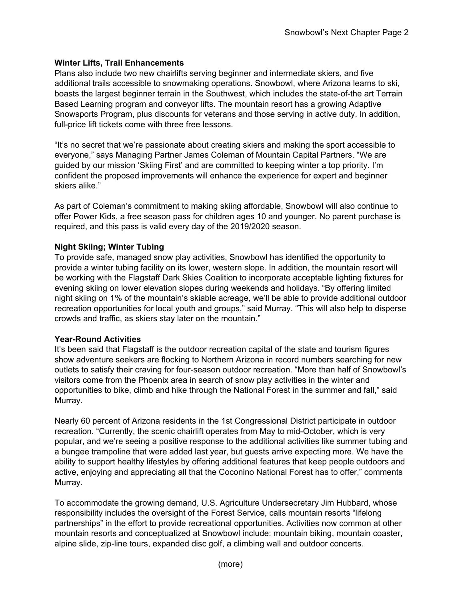## **Winter Lifts, Trail Enhancements**

Plans also include two new chairlifts serving beginner and intermediate skiers, and five additional trails accessible to snowmaking operations. Snowbowl, where Arizona learns to ski, boasts the largest beginner terrain in the Southwest, which includes the state-of-the art Terrain Based Learning program and conveyor lifts. The mountain resort has a growing Adaptive Snowsports Program, plus discounts for veterans and those serving in active duty. In addition, full-price lift tickets come with three free lessons.

"It's no secret that we're passionate about creating skiers and making the sport accessible to everyone," says Managing Partner James Coleman of Mountain Capital Partners. "We are guided by our mission 'Skiing First' and are committed to keeping winter a top priority. I'm confident the proposed improvements will enhance the experience for expert and beginner skiers alike."

As part of Coleman's commitment to making skiing affordable, Snowbowl will also continue to offer Power Kids, a free season pass for children ages 10 and younger. No parent purchase is required, and this pass is valid every day of the 2019/2020 season.

## **Night Skiing; Winter Tubing**

To provide safe, managed snow play activities, Snowbowl has identified the opportunity to provide a winter tubing facility on its lower, western slope. In addition, the mountain resort will be working with the Flagstaff Dark Skies Coalition to incorporate acceptable lighting fixtures for evening skiing on lower elevation slopes during weekends and holidays. "By offering limited night skiing on 1% of the mountain's skiable acreage, we'll be able to provide additional outdoor recreation opportunities for local youth and groups," said Murray. "This will also help to disperse crowds and traffic, as skiers stay later on the mountain."

### **Year-Round Activities**

It's been said that Flagstaff is the outdoor recreation capital of the state and tourism figures show adventure seekers are flocking to Northern Arizona in record numbers searching for new outlets to satisfy their craving for four-season outdoor recreation. "More than half of Snowbowl's visitors come from the Phoenix area in search of snow play activities in the winter and opportunities to bike, climb and hike through the National Forest in the summer and fall," said Murray.

Nearly 60 percent of Arizona residents in the 1st Congressional District participate in outdoor recreation. "Currently, the scenic chairlift operates from May to mid-October, which is very popular, and we're seeing a positive response to the additional activities like summer tubing and a bungee trampoline that were added last year, but guests arrive expecting more. We have the ability to support healthy lifestyles by offering additional features that keep people outdoors and active, enjoying and appreciating all that the Coconino National Forest has to offer," comments Murray.

To accommodate the growing demand, U.S. Agriculture Undersecretary Jim Hubbard, whose responsibility includes the oversight of the Forest Service, calls mountain resorts "lifelong partnerships" in the effort to provide recreational opportunities. Activities now common at other mountain resorts and conceptualized at Snowbowl include: mountain biking, mountain coaster, alpine slide, zip-line tours, expanded disc golf, a climbing wall and outdoor concerts.